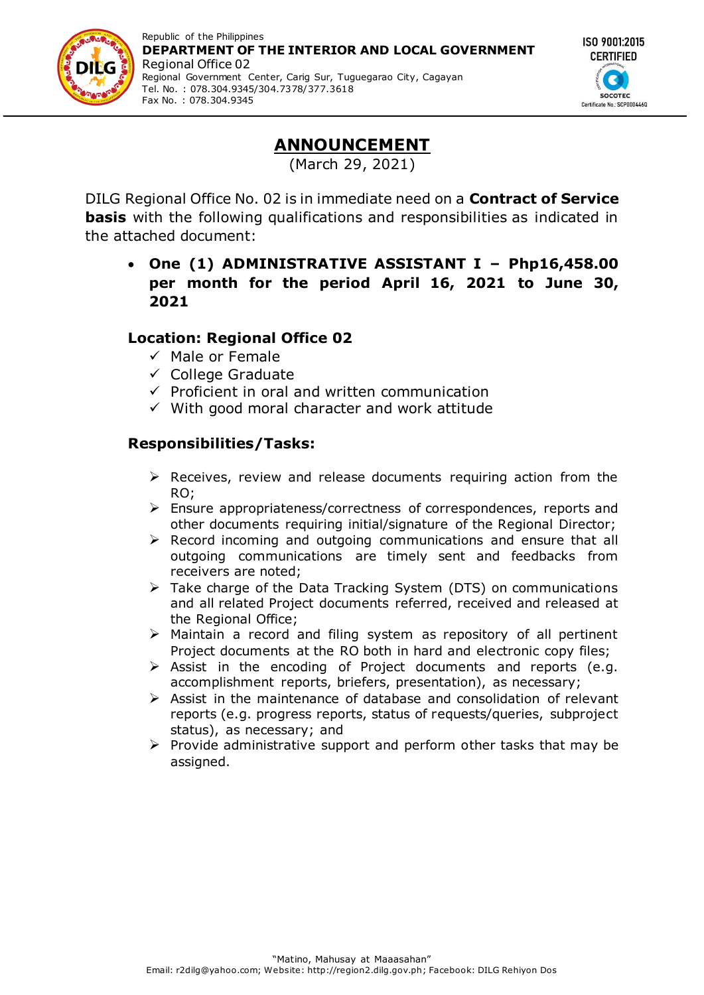



# **ANNOUNCEMENT**

(March 29, 2021)

DILG Regional Office No. 02 is in immediate need on a **Contract of Service basis** with the following qualifications and responsibilities as indicated in the attached document:

#### **One (1) ADMINISTRATIVE ASSISTANT I – Php16,458.00 per month for the period April 16, 2021 to June 30, 2021**

## **Location: Regional Office 02**

- $\checkmark$  Male or Female
- $\checkmark$  College Graduate
- $\checkmark$  Proficient in oral and written communication
- $\checkmark$  With good moral character and work attitude

## **Responsibilities/Tasks:**

- $\triangleright$  Receives, review and release documents requiring action from the RO;
- Ensure appropriateness/correctness of correspondences, reports and other documents requiring initial/signature of the Regional Director;
- $\triangleright$  Record incoming and outgoing communications and ensure that all outgoing communications are timely sent and feedbacks from receivers are noted;
- $\triangleright$  Take charge of the Data Tracking System (DTS) on communications and all related Project documents referred, received and released at the Regional Office;
- $\triangleright$  Maintain a record and filing system as repository of all pertinent Project documents at the RO both in hard and electronic copy files;
- > Assist in the encoding of Project documents and reports (e.g. accomplishment reports, briefers, presentation), as necessary;
- $\triangleright$  Assist in the maintenance of database and consolidation of relevant reports (e.g. progress reports, status of requests/queries, subproject status), as necessary; and
- $\triangleright$  Provide administrative support and perform other tasks that may be assigned.